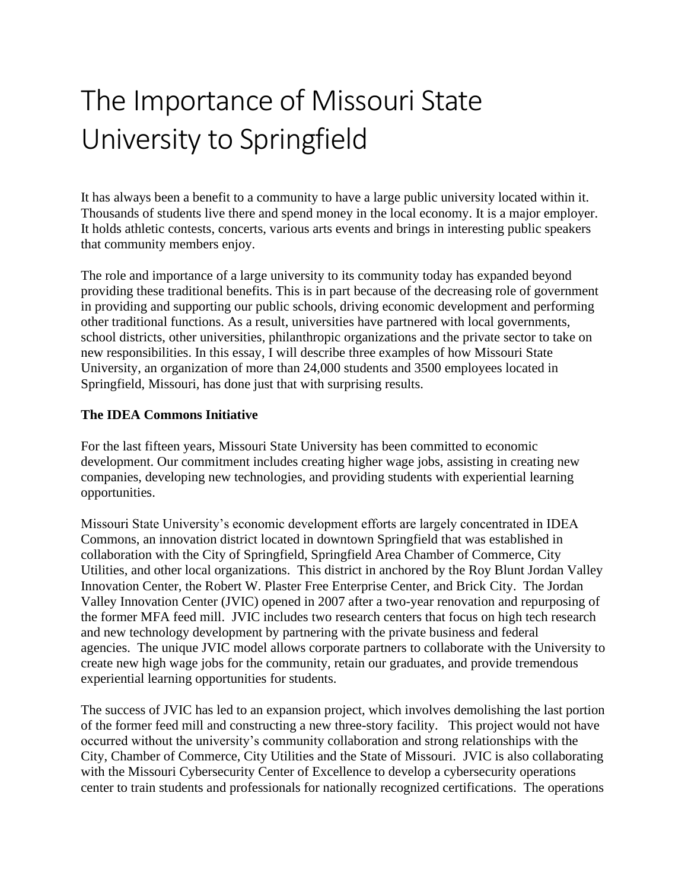## The Importance of Missouri State University to Springfield

It has always been a benefit to a community to have a large public university located within it. Thousands of students live there and spend money in the local economy. It is a major employer. It holds athletic contests, concerts, various arts events and brings in interesting public speakers that community members enjoy.

The role and importance of a large university to its community today has expanded beyond providing these traditional benefits. This is in part because of the decreasing role of government in providing and supporting our public schools, driving economic development and performing other traditional functions. As a result, universities have partnered with local governments, school districts, other universities, philanthropic organizations and the private sector to take on new responsibilities. In this essay, I will describe three examples of how Missouri State University, an organization of more than 24,000 students and 3500 employees located in Springfield, Missouri, has done just that with surprising results.

## **The IDEA Commons Initiative**

For the last fifteen years, Missouri State University has been committed to economic development. Our commitment includes creating higher wage jobs, assisting in creating new companies, developing new technologies, and providing students with experiential learning opportunities.

Missouri State University's economic development efforts are largely concentrated in IDEA Commons, an innovation district located in downtown Springfield that was established in collaboration with the City of Springfield, Springfield Area Chamber of Commerce, City Utilities, and other local organizations. This district in anchored by the Roy Blunt Jordan Valley Innovation Center, the Robert W. Plaster Free Enterprise Center, and Brick City. The Jordan Valley Innovation Center (JVIC) opened in 2007 after a two-year renovation and repurposing of the former MFA feed mill. JVIC includes two research centers that focus on high tech research and new technology development by partnering with the private business and federal agencies. The unique JVIC model allows corporate partners to collaborate with the University to create new high wage jobs for the community, retain our graduates, and provide tremendous experiential learning opportunities for students.

The success of JVIC has led to an expansion project, which involves demolishing the last portion of the former feed mill and constructing a new three-story facility. This project would not have occurred without the university's community collaboration and strong relationships with the City, Chamber of Commerce, City Utilities and the State of Missouri. JVIC is also collaborating with the Missouri Cybersecurity Center of Excellence to develop a cybersecurity operations center to train students and professionals for nationally recognized certifications. The operations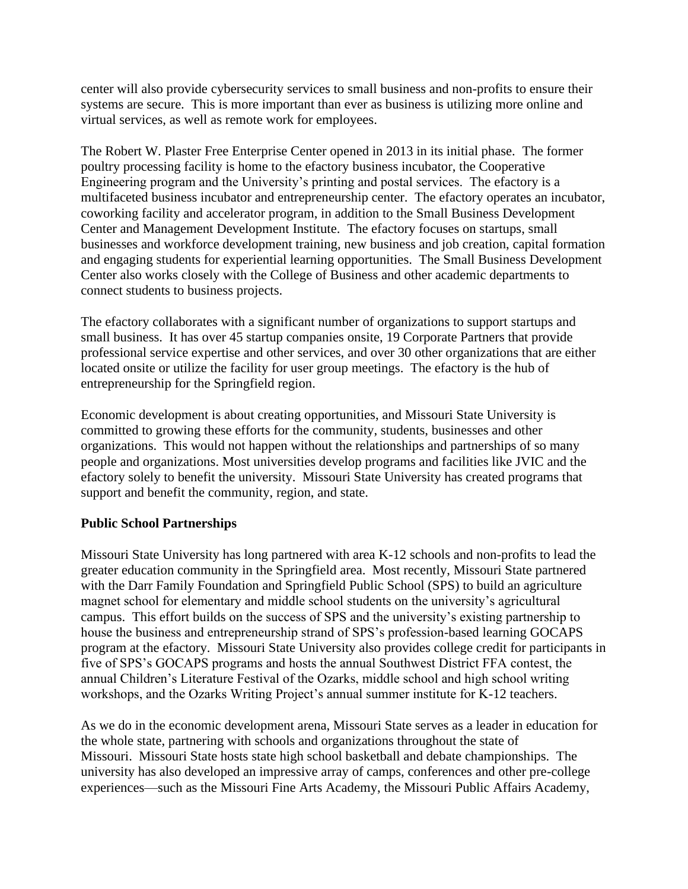center will also provide cybersecurity services to small business and non-profits to ensure their systems are secure. This is more important than ever as business is utilizing more online and virtual services, as well as remote work for employees.

The Robert W. Plaster Free Enterprise Center opened in 2013 in its initial phase. The former poultry processing facility is home to the efactory business incubator, the Cooperative Engineering program and the University's printing and postal services. The efactory is a multifaceted business incubator and entrepreneurship center. The efactory operates an incubator, coworking facility and accelerator program, in addition to the Small Business Development Center and Management Development Institute. The efactory focuses on startups, small businesses and workforce development training, new business and job creation, capital formation and engaging students for experiential learning opportunities. The Small Business Development Center also works closely with the College of Business and other academic departments to connect students to business projects.

The efactory collaborates with a significant number of organizations to support startups and small business. It has over 45 startup companies onsite, 19 Corporate Partners that provide professional service expertise and other services, and over 30 other organizations that are either located onsite or utilize the facility for user group meetings. The efactory is the hub of entrepreneurship for the Springfield region.

Economic development is about creating opportunities, and Missouri State University is committed to growing these efforts for the community, students, businesses and other organizations. This would not happen without the relationships and partnerships of so many people and organizations. Most universities develop programs and facilities like JVIC and the efactory solely to benefit the university. Missouri State University has created programs that support and benefit the community, region, and state.

## **Public School Partnerships**

Missouri State University has long partnered with area K-12 schools and non-profits to lead the greater education community in the Springfield area. Most recently, Missouri State partnered with the Darr Family Foundation and Springfield Public School (SPS) to build an agriculture magnet school for elementary and middle school students on the university's agricultural campus. This effort builds on the success of SPS and the university's existing partnership to house the business and entrepreneurship strand of SPS's profession-based learning GOCAPS program at the efactory. Missouri State University also provides college credit for participants in five of SPS's GOCAPS programs and hosts the annual Southwest District FFA contest, the annual Children's Literature Festival of the Ozarks, middle school and high school writing workshops, and the Ozarks Writing Project's annual summer institute for K-12 teachers.

As we do in the economic development arena, Missouri State serves as a leader in education for the whole state, partnering with schools and organizations throughout the state of Missouri. Missouri State hosts state high school basketball and debate championships. The university has also developed an impressive array of camps, conferences and other pre-college experiences—such as the Missouri Fine Arts Academy, the Missouri Public Affairs Academy,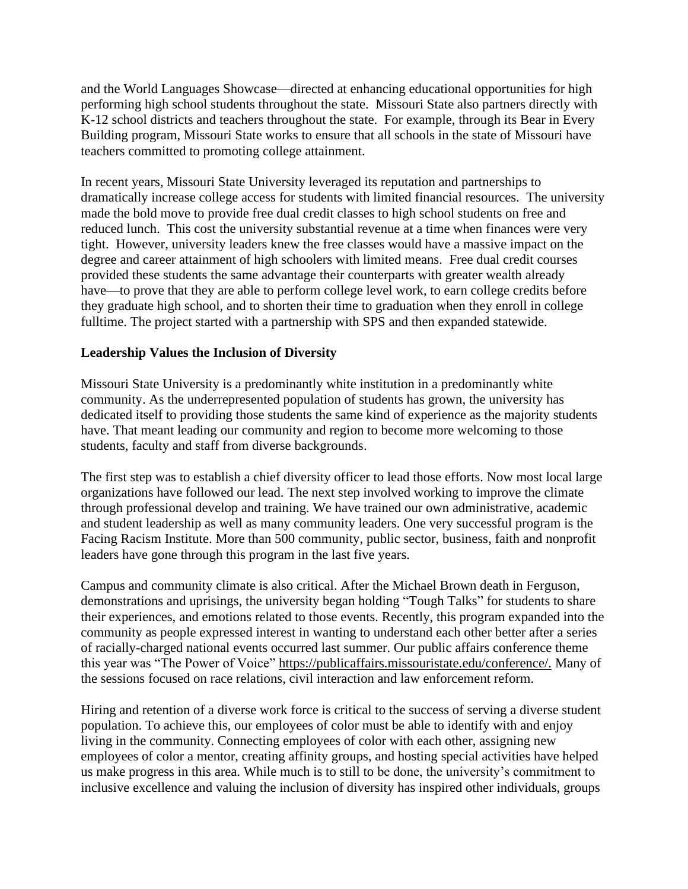and the World Languages Showcase—directed at enhancing educational opportunities for high performing high school students throughout the state. Missouri State also partners directly with K-12 school districts and teachers throughout the state. For example, through its Bear in Every Building program, Missouri State works to ensure that all schools in the state of Missouri have teachers committed to promoting college attainment.

In recent years, Missouri State University leveraged its reputation and partnerships to dramatically increase college access for students with limited financial resources. The university made the bold move to provide free dual credit classes to high school students on free and reduced lunch. This cost the university substantial revenue at a time when finances were very tight. However, university leaders knew the free classes would have a massive impact on the degree and career attainment of high schoolers with limited means. Free dual credit courses provided these students the same advantage their counterparts with greater wealth already have—to prove that they are able to perform college level work, to earn college credits before they graduate high school, and to shorten their time to graduation when they enroll in college fulltime. The project started with a partnership with SPS and then expanded statewide.

## **Leadership Values the Inclusion of Diversity**

Missouri State University is a predominantly white institution in a predominantly white community. As the underrepresented population of students has grown, the university has dedicated itself to providing those students the same kind of experience as the majority students have. That meant leading our community and region to become more welcoming to those students, faculty and staff from diverse backgrounds.

The first step was to establish a chief diversity officer to lead those efforts. Now most local large organizations have followed our lead. The next step involved working to improve the climate through professional develop and training. We have trained our own administrative, academic and student leadership as well as many community leaders. One very successful program is the Facing Racism Institute. More than 500 community, public sector, business, faith and nonprofit leaders have gone through this program in the last five years.

Campus and community climate is also critical. After the Michael Brown death in Ferguson, demonstrations and uprisings, the university began holding "Tough Talks" for students to share their experiences, and emotions related to those events. Recently, this program expanded into the community as people expressed interest in wanting to understand each other better after a series of racially-charged national events occurred last summer. Our public affairs conference theme this year was "The Power of Voice" https://publicaffairs.missouristate.edu/conference/. Many of the sessions focused on race relations, civil interaction and law enforcement reform.

Hiring and retention of a diverse work force is critical to the success of serving a diverse student population. To achieve this, our employees of color must be able to identify with and enjoy living in the community. Connecting employees of color with each other, assigning new employees of color a mentor, creating affinity groups, and hosting special activities have helped us make progress in this area. While much is to still to be done, the university's commitment to inclusive excellence and valuing the inclusion of diversity has inspired other individuals, groups